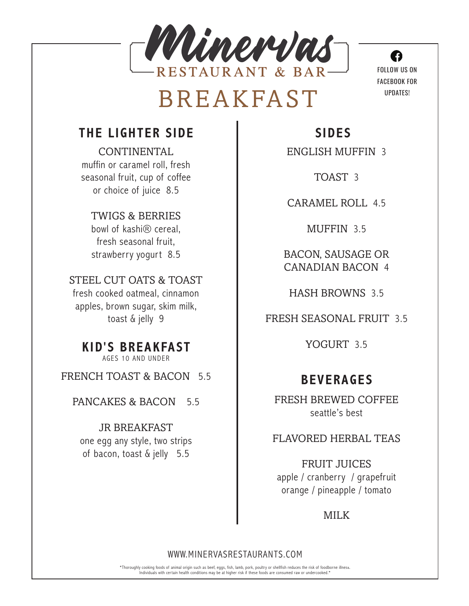

## BREAKFAST

## **THE LIGHTER SIDE**

CONTINENTAL muffin or caramel roll, fresh seasonal fruit, cup of coffee or choice of juice 8.5

TWIGS & BERRIES bowl of kashi® cereal, fresh seasonal fruit, strawberry yogurt 8.5

STEEL CUT OATS & TOAST fresh cooked oatmeal, cinnamon apples, brown sugar, skim milk, toast & jelly 9

**KID'S BREAKFAST** AGES 10 AND UNDER

FRENCH TOAST & BACON 5.5

PANCAKES & BACON 5.5

JR BREAKFAST one egg any style, two strips of bacon, toast & jelly 5.5

**SIDES**

ENGLISH MUFFIN 3

TOAST 3

CARAMEL ROLL 4.5

MUFFIN 3.5

BACON, SAUSAGE OR CANADIAN BACON 4

HASH BROWNS 3.5

FRESH SEASONAL FRUIT 3.5

YOGURT 3.5

## **BEVERAGES**

FRESH BREWED COFFEE seattle's best

FLAVORED HERBAL TEAS

FRUIT JUICES apple / cranberry / grapefruit orange / pineapple / tomato

MILK

#### WWW.MINERVASRESTAURANTS.COM

\*Thoroughly cooking foods of animal origin such as beef, eggs, fish, lamb, pork, poultry or shellfish reduces the risk of foodborne illness. Individuals with certain health conditions may be at higher risk if these foods are consumed raw or undercooked.\*